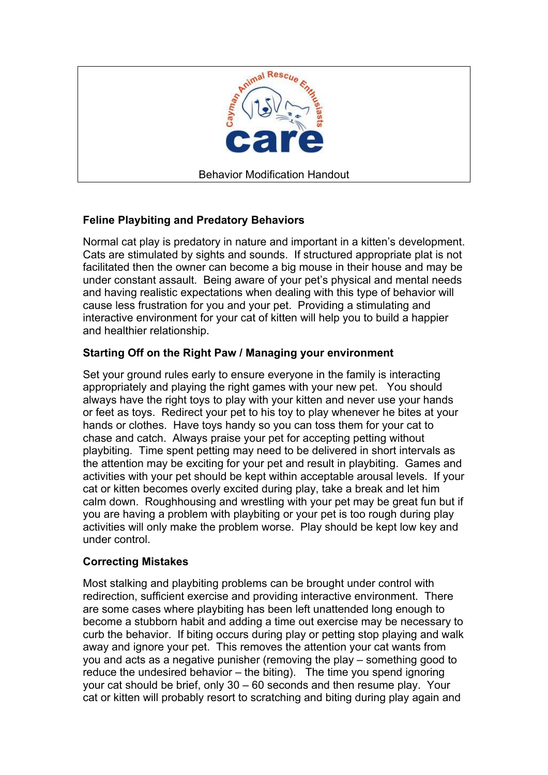

## **Feline Playbiting and Predatory Behaviors**

Normal cat play is predatory in nature and important in a kitten's development. Cats are stimulated by sights and sounds. If structured appropriate plat is not facilitated then the owner can become a big mouse in their house and may be under constant assault. Being aware of your pet's physical and mental needs and having realistic expectations when dealing with this type of behavior will cause less frustration for you and your pet. Providing a stimulating and interactive environment for your cat of kitten will help you to build a happier and healthier relationship.

## **Starting Off on the Right Paw / Managing your environment**

Set your ground rules early to ensure everyone in the family is interacting appropriately and playing the right games with your new pet. You should always have the right toys to play with your kitten and never use your hands or feet as toys. Redirect your pet to his toy to play whenever he bites at your hands or clothes. Have toys handy so you can toss them for your cat to chase and catch. Always praise your pet for accepting petting without playbiting. Time spent petting may need to be delivered in short intervals as the attention may be exciting for your pet and result in playbiting. Games and activities with your pet should be kept within acceptable arousal levels. If your cat or kitten becomes overly excited during play, take a break and let him calm down. Roughhousing and wrestling with your pet may be great fun but if you are having a problem with playbiting or your pet is too rough during play activities will only make the problem worse. Play should be kept low key and under control.

## **Correcting Mistakes**

Most stalking and playbiting problems can be brought under control with redirection, sufficient exercise and providing interactive environment. There are some cases where playbiting has been left unattended long enough to become a stubborn habit and adding a time out exercise may be necessary to curb the behavior. If biting occurs during play or petting stop playing and walk away and ignore your pet. This removes the attention your cat wants from you and acts as a negative punisher (removing the play – something good to reduce the undesired behavior – the biting). The time you spend ignoring your cat should be brief, only 30 – 60 seconds and then resume play. Your cat or kitten will probably resort to scratching and biting during play again and